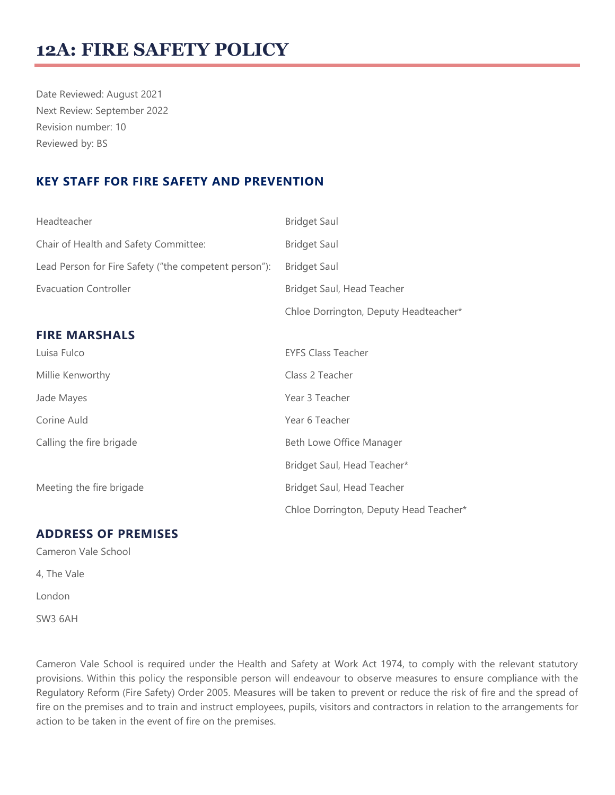# **12A: FIRE SAFETY POLICY**

Date Reviewed: August 2021 Next Review: September 2022 Revision number: 10 Reviewed by: BS

## **KEY STAFF FOR FIRE SAFETY AND PREVENTION**

| Headteacher                                           | <b>Bridget Saul</b>                    |
|-------------------------------------------------------|----------------------------------------|
| Chair of Health and Safety Committee:                 | <b>Bridget Saul</b>                    |
| Lead Person for Fire Safety ("the competent person"): | <b>Bridget Saul</b>                    |
| <b>Evacuation Controller</b>                          | Bridget Saul, Head Teacher             |
|                                                       | Chloe Dorrington, Deputy Headteacher*  |
| <b>FIRE MARSHALS</b>                                  |                                        |
| Luisa Fulco                                           | <b>EYFS Class Teacher</b>              |
| Millie Kenworthy                                      | Class 2 Teacher                        |
| Jade Mayes                                            | Year 3 Teacher                         |
| Corine Auld                                           | Year 6 Teacher                         |
| Calling the fire brigade                              | Beth Lowe Office Manager               |
|                                                       | Bridget Saul, Head Teacher*            |
| Meeting the fire brigade                              | Bridget Saul, Head Teacher             |
|                                                       | Chloe Dorrington, Deputy Head Teacher* |

#### **ADDRESS OF PREMISES**

Cameron Vale School 4, The Vale London

SW3 6AH

Cameron Vale School is required under the Health and Safety at Work Act 1974, to comply with the relevant statutory provisions. Within this policy the responsible person will endeavour to observe measures to ensure compliance with the Regulatory Reform (Fire Safety) Order 2005. Measures will be taken to prevent or reduce the risk of fire and the spread of fire on the premises and to train and instruct employees, pupils, visitors and contractors in relation to the arrangements for action to be taken in the event of fire on the premises.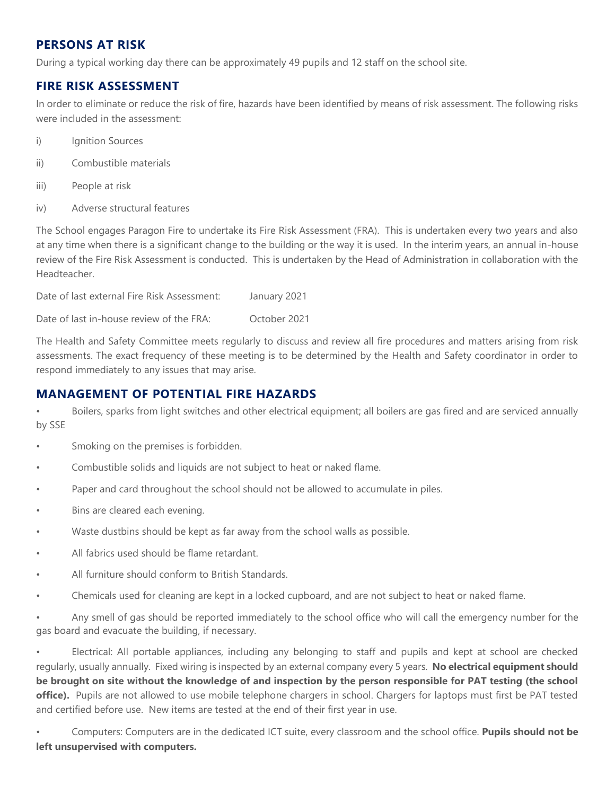## **PERSONS AT RISK**

During a typical working day there can be approximately 49 pupils and 12 staff on the school site.

#### **FIRE RISK ASSESSMENT**

In order to eliminate or reduce the risk of fire, hazards have been identified by means of risk assessment. The following risks were included in the assessment:

- i) Ignition Sources
- ii) Combustible materials
- iii) People at risk
- iv) Adverse structural features

The School engages Paragon Fire to undertake its Fire Risk Assessment (FRA). This is undertaken every two years and also at any time when there is a significant change to the building or the way it is used. In the interim years, an annual in-house review of the Fire Risk Assessment is conducted. This is undertaken by the Head of Administration in collaboration with the Headteacher.

Date of last external Fire Risk Assessment: January 2021

Date of last in-house review of the FRA: October 2021

The Health and Safety Committee meets regularly to discuss and review all fire procedures and matters arising from risk assessments. The exact frequency of these meeting is to be determined by the Health and Safety coordinator in order to respond immediately to any issues that may arise.

#### **MANAGEMENT OF POTENTIAL FIRE HAZARDS**

• Boilers, sparks from light switches and other electrical equipment; all boilers are gas fired and are serviced annually by SSE

- Smoking on the premises is forbidden.
- Combustible solids and liquids are not subject to heat or naked flame.
- Paper and card throughout the school should not be allowed to accumulate in piles.
- Bins are cleared each evening.
- Waste dustbins should be kept as far away from the school walls as possible.
- All fabrics used should be flame retardant.
- All furniture should conform to British Standards.
- Chemicals used for cleaning are kept in a locked cupboard, and are not subject to heat or naked flame.

• Any smell of gas should be reported immediately to the school office who will call the emergency number for the gas board and evacuate the building, if necessary.

• Electrical: All portable appliances, including any belonging to staff and pupils and kept at school are checked regularly, usually annually. Fixed wiring is inspected by an external company every 5 years. **No electrical equipment should be brought on site without the knowledge of and inspection by the person responsible for PAT testing (the school**  office). Pupils are not allowed to use mobile telephone chargers in school. Chargers for laptops must first be PAT tested and certified before use. New items are tested at the end of their first year in use.

• Computers: Computers are in the dedicated ICT suite, every classroom and the school office. **Pupils should not be left unsupervised with computers.**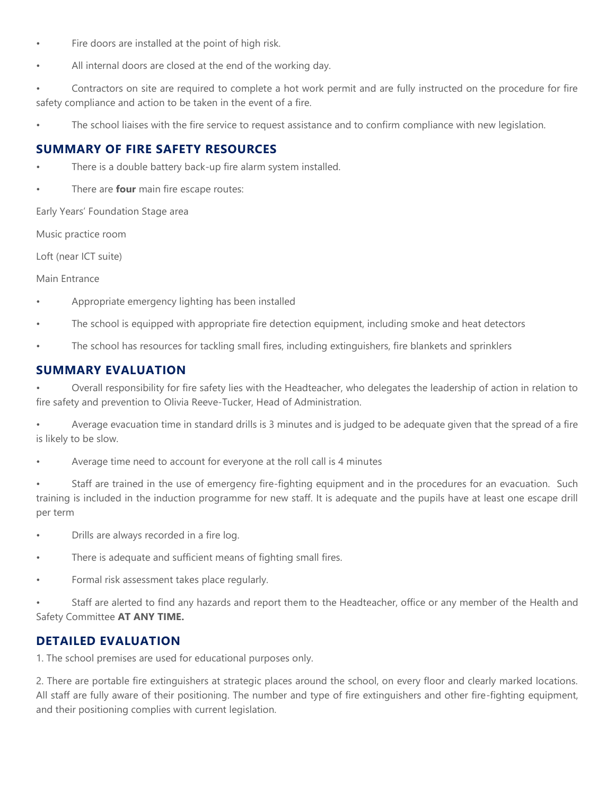- Fire doors are installed at the point of high risk.
- All internal doors are closed at the end of the working day.

• Contractors on site are required to complete a hot work permit and are fully instructed on the procedure for fire safety compliance and action to be taken in the event of a fire.

The school liaises with the fire service to request assistance and to confirm compliance with new legislation.

## **SUMMARY OF FIRE SAFETY RESOURCES**

- There is a double battery back-up fire alarm system installed.
- There are **four** main fire escape routes:

Early Years' Foundation Stage area

Music practice room

Loft (near ICT suite)

Main Entrance

- Appropriate emergency lighting has been installed
- The school is equipped with appropriate fire detection equipment, including smoke and heat detectors
- The school has resources for tackling small fires, including extinguishers, fire blankets and sprinklers

## **SUMMARY EVALUATION**

• Overall responsibility for fire safety lies with the Headteacher, who delegates the leadership of action in relation to fire safety and prevention to Olivia Reeve-Tucker, Head of Administration.

• Average evacuation time in standard drills is 3 minutes and is judged to be adequate given that the spread of a fire is likely to be slow.

Average time need to account for everyone at the roll call is 4 minutes

Staff are trained in the use of emergency fire-fighting equipment and in the procedures for an evacuation. Such training is included in the induction programme for new staff. It is adequate and the pupils have at least one escape drill per term

- Drills are always recorded in a fire log.
- There is adequate and sufficient means of fighting small fires.
- Formal risk assessment takes place regularly.

• Staff are alerted to find any hazards and report them to the Headteacher, office or any member of the Health and Safety Committee **AT ANY TIME.**

#### **DETAILED EVALUATION**

1. The school premises are used for educational purposes only.

2. There are portable fire extinguishers at strategic places around the school, on every floor and clearly marked locations. All staff are fully aware of their positioning. The number and type of fire extinguishers and other fire-fighting equipment, and their positioning complies with current legislation.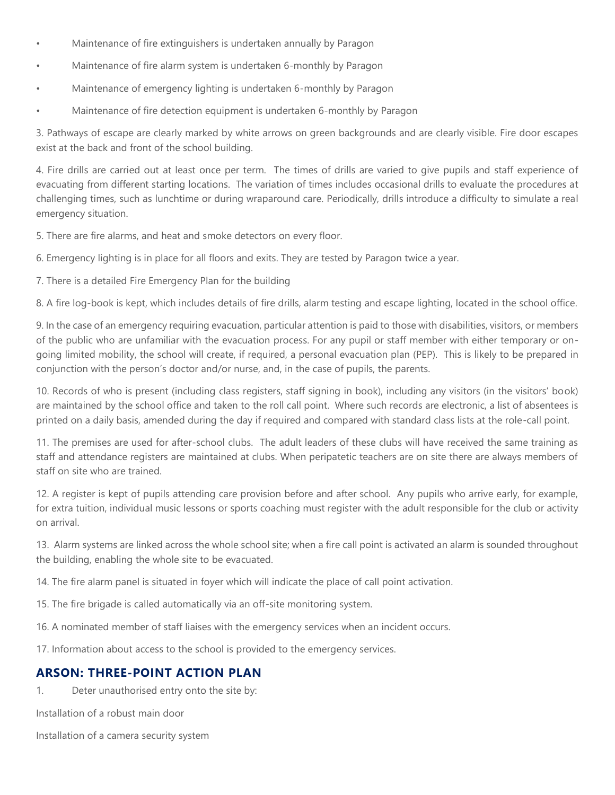- Maintenance of fire extinguishers is undertaken annually by Paragon
- Maintenance of fire alarm system is undertaken 6-monthly by Paragon
- Maintenance of emergency lighting is undertaken 6-monthly by Paragon
- Maintenance of fire detection equipment is undertaken 6-monthly by Paragon

3. Pathways of escape are clearly marked by white arrows on green backgrounds and are clearly visible. Fire door escapes exist at the back and front of the school building.

4. Fire drills are carried out at least once per term. The times of drills are varied to give pupils and staff experience of evacuating from different starting locations. The variation of times includes occasional drills to evaluate the procedures at challenging times, such as lunchtime or during wraparound care. Periodically, drills introduce a difficulty to simulate a real emergency situation.

5. There are fire alarms, and heat and smoke detectors on every floor.

6. Emergency lighting is in place for all floors and exits. They are tested by Paragon twice a year.

7. There is a detailed Fire Emergency Plan for the building

8. A fire log-book is kept, which includes details of fire drills, alarm testing and escape lighting, located in the school office.

9. In the case of an emergency requiring evacuation, particular attention is paid to those with disabilities, visitors, or members of the public who are unfamiliar with the evacuation process. For any pupil or staff member with either temporary or ongoing limited mobility, the school will create, if required, a personal evacuation plan (PEP). This is likely to be prepared in conjunction with the person's doctor and/or nurse, and, in the case of pupils, the parents.

10. Records of who is present (including class registers, staff signing in book), including any visitors (in the visitors' book) are maintained by the school office and taken to the roll call point. Where such records are electronic, a list of absentees is printed on a daily basis, amended during the day if required and compared with standard class lists at the role-call point.

11. The premises are used for after-school clubs. The adult leaders of these clubs will have received the same training as staff and attendance registers are maintained at clubs. When peripatetic teachers are on site there are always members of staff on site who are trained.

12. A register is kept of pupils attending care provision before and after school. Any pupils who arrive early, for example, for extra tuition, individual music lessons or sports coaching must register with the adult responsible for the club or activity on arrival.

13. Alarm systems are linked across the whole school site; when a fire call point is activated an alarm is sounded throughout the building, enabling the whole site to be evacuated.

14. The fire alarm panel is situated in foyer which will indicate the place of call point activation.

15. The fire brigade is called automatically via an off-site monitoring system.

16. A nominated member of staff liaises with the emergency services when an incident occurs.

17. Information about access to the school is provided to the emergency services.

#### **ARSON: THREE-POINT ACTION PLAN**

1. Deter unauthorised entry onto the site by:

Installation of a robust main door

Installation of a camera security system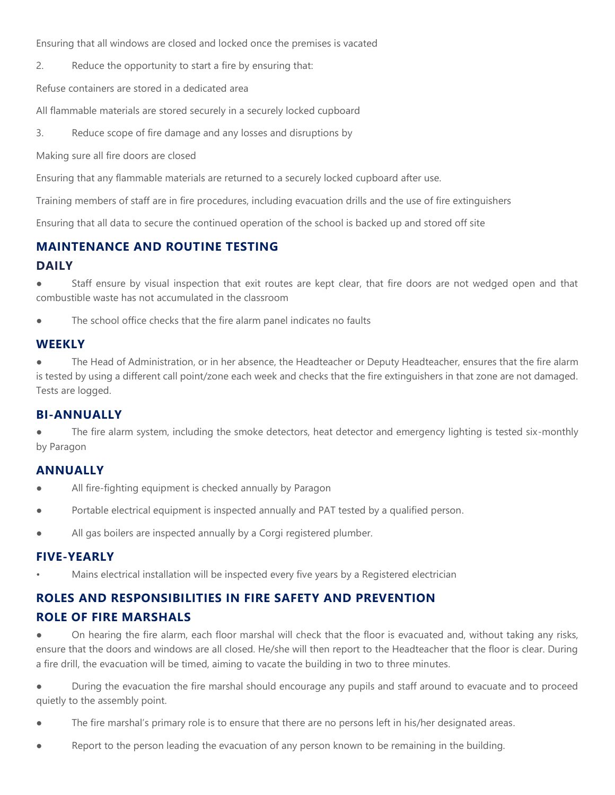Ensuring that all windows are closed and locked once the premises is vacated

2. Reduce the opportunity to start a fire by ensuring that:

Refuse containers are stored in a dedicated area

All flammable materials are stored securely in a securely locked cupboard

3. Reduce scope of fire damage and any losses and disruptions by

Making sure all fire doors are closed

Ensuring that any flammable materials are returned to a securely locked cupboard after use.

Training members of staff are in fire procedures, including evacuation drills and the use of fire extinguishers

Ensuring that all data to secure the continued operation of the school is backed up and stored off site

## **MAINTENANCE AND ROUTINE TESTING**

#### **DAILY**

Staff ensure by visual inspection that exit routes are kept clear, that fire doors are not wedged open and that combustible waste has not accumulated in the classroom

The school office checks that the fire alarm panel indicates no faults

## **WEEKLY**

The Head of Administration, or in her absence, the Headteacher or Deputy Headteacher, ensures that the fire alarm is tested by using a different call point/zone each week and checks that the fire extinguishers in that zone are not damaged. Tests are logged.

#### **BI-ANNUALLY**

The fire alarm system, including the smoke detectors, heat detector and emergency lighting is tested six-monthly by Paragon

#### **ANNUALLY**

- All fire-fighting equipment is checked annually by Paragon
- Portable electrical equipment is inspected annually and PAT tested by a qualified person.
- All gas boilers are inspected annually by a Corgi registered plumber.

#### **FIVE-YEARLY**

• Mains electrical installation will be inspected every five years by a Registered electrician

## **ROLES AND RESPONSIBILITIES IN FIRE SAFETY AND PREVENTION ROLE OF FIRE MARSHALS**

On hearing the fire alarm, each floor marshal will check that the floor is evacuated and, without taking any risks, ensure that the doors and windows are all closed. He/she will then report to the Headteacher that the floor is clear. During a fire drill, the evacuation will be timed, aiming to vacate the building in two to three minutes.

During the evacuation the fire marshal should encourage any pupils and staff around to evacuate and to proceed quietly to the assembly point.

- The fire marshal's primary role is to ensure that there are no persons left in his/her designated areas.
- Report to the person leading the evacuation of any person known to be remaining in the building.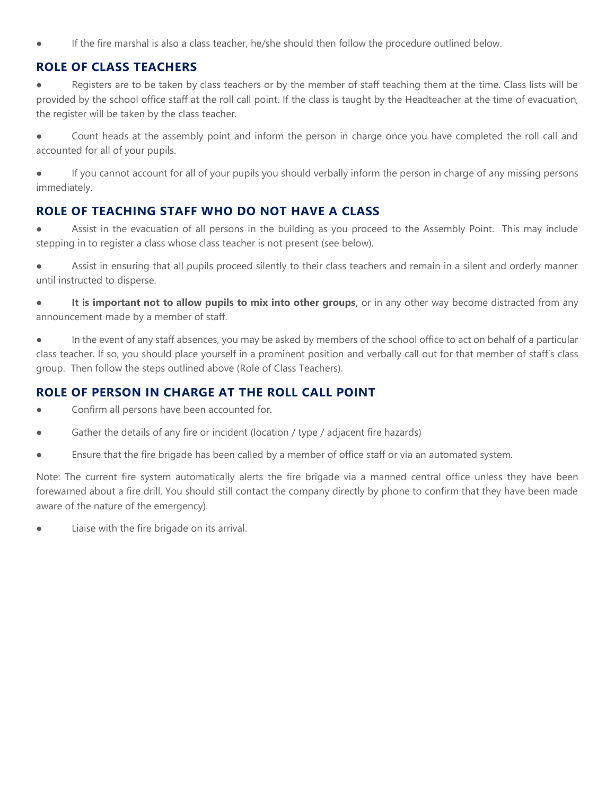If the fire marshal is also a class teacher, he/she should then follow the procedure outlined below.

## **ROLE OF CLASS TEACHERS**

Registers are to be taken by class teachers or by the member of staff teaching them at the time. Class lists will be provided by the school office staff at the roll call point. If the class is taught by the Headteacher at the time of evacuation, the register will be taken by the class teacher.

● Count heads at the assembly point and inform the person in charge once you have completed the roll call and accounted for all of your pupils.

● If you cannot account for all of your pupils you should verbally inform the person in charge of any missing persons immediately.

## **ROLE OF TEACHING STAFF WHO DO NOT HAVE A CLASS**

● Assist in the evacuation of all persons in the building as you proceed to the Assembly Point. This may include stepping in to register a class whose class teacher is not present (see below).

● Assist in ensuring that all pupils proceed silently to their class teachers and remain in a silent and orderly manner until instructed to disperse.

**• It is important not to allow pupils to mix into other groups**, or in any other way become distracted from any announcement made by a member of staff.

● In the event of any staff absences, you may be asked by members of the school office to act on behalf of a particular class teacher. If so, you should place yourself in a prominent position and verbally call out for that member of staff's class group. Then follow the steps outlined above (Role of Class Teachers).

## **ROLE OF PERSON IN CHARGE AT THE ROLL CALL POINT**

- Confirm all persons have been accounted for.
- Gather the details of any fire or incident (location / type / adjacent fire hazards)
- Ensure that the fire brigade has been called by a member of office staff or via an automated system.

Note: The current fire system automatically alerts the fire brigade via a manned central office unless they have been forewarned about a fire drill. You should still contact the company directly by phone to confirm that they have been made aware of the nature of the emergency).

Liaise with the fire brigade on its arrival.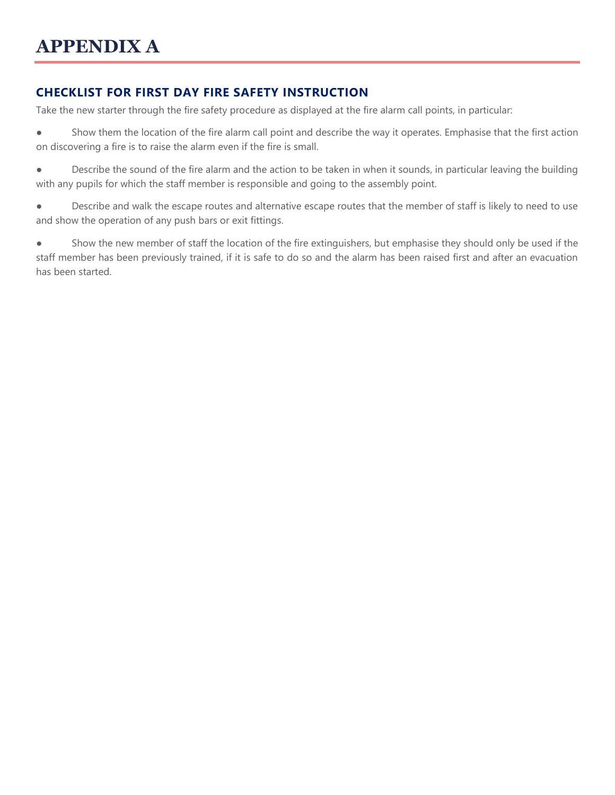# **CHECKLIST FOR FIRST DAY FIRE SAFETY INSTRUCTION**

Take the new starter through the fire safety procedure as displayed at the fire alarm call points, in particular:

● Show them the location of the fire alarm call point and describe the way it operates. Emphasise that the first action on discovering a fire is to raise the alarm even if the fire is small.

● Describe the sound of the fire alarm and the action to be taken in when it sounds, in particular leaving the building with any pupils for which the staff member is responsible and going to the assembly point.

● Describe and walk the escape routes and alternative escape routes that the member of staff is likely to need to use and show the operation of any push bars or exit fittings.

● Show the new member of staff the location of the fire extinguishers, but emphasise they should only be used if the staff member has been previously trained, if it is safe to do so and the alarm has been raised first and after an evacuation has been started.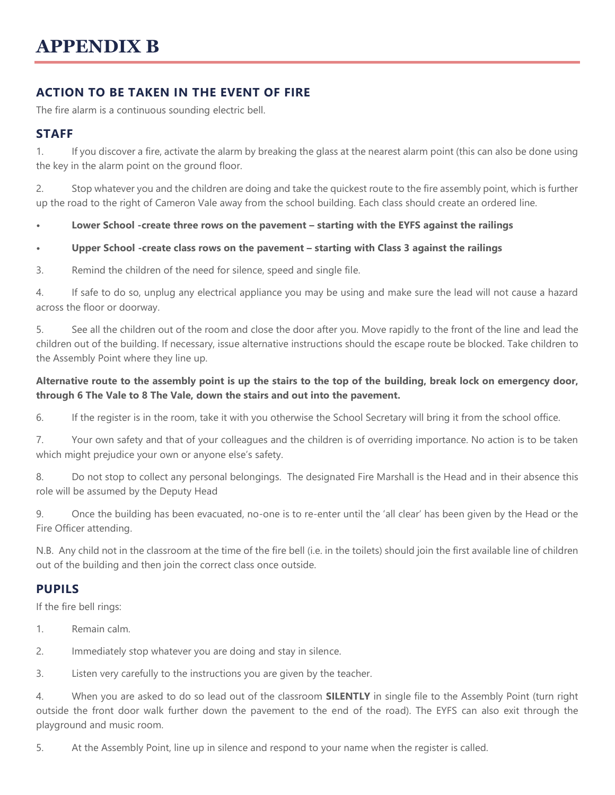# **ACTION TO BE TAKEN IN THE EVENT OF FIRE**

The fire alarm is a continuous sounding electric bell.

## **STAFF**

1. If you discover a fire, activate the alarm by breaking the glass at the nearest alarm point (this can also be done using the key in the alarm point on the ground floor.

2. Stop whatever you and the children are doing and take the quickest route to the fire assembly point, which is further up the road to the right of Cameron Vale away from the school building. Each class should create an ordered line.

**• Lower School -create three rows on the pavement – starting with the EYFS against the railings**

#### **• Upper School -create class rows on the pavement – starting with Class 3 against the railings**

3. Remind the children of the need for silence, speed and single file.

4. If safe to do so, unplug any electrical appliance you may be using and make sure the lead will not cause a hazard across the floor or doorway.

5. See all the children out of the room and close the door after you. Move rapidly to the front of the line and lead the children out of the building. If necessary, issue alternative instructions should the escape route be blocked. Take children to the Assembly Point where they line up.

#### **Alternative route to the assembly point is up the stairs to the top of the building, break lock on emergency door, through 6 The Vale to 8 The Vale, down the stairs and out into the pavement.**

6. If the register is in the room, take it with you otherwise the School Secretary will bring it from the school office.

7. Your own safety and that of your colleagues and the children is of overriding importance. No action is to be taken which might prejudice your own or anyone else's safety.

8. Do not stop to collect any personal belongings. The designated Fire Marshall is the Head and in their absence this role will be assumed by the Deputy Head

9. Once the building has been evacuated, no-one is to re-enter until the 'all clear' has been given by the Head or the Fire Officer attending.

N.B. Any child not in the classroom at the time of the fire bell (i.e. in the toilets) should join the first available line of children out of the building and then join the correct class once outside.

## **PUPILS**

If the fire bell rings:

- 1. Remain calm.
- 2. Immediately stop whatever you are doing and stay in silence.

3. Listen very carefully to the instructions you are given by the teacher.

4. When you are asked to do so lead out of the classroom **SILENTLY** in single file to the Assembly Point (turn right outside the front door walk further down the pavement to the end of the road). The EYFS can also exit through the playground and music room.

5. At the Assembly Point, line up in silence and respond to your name when the register is called.